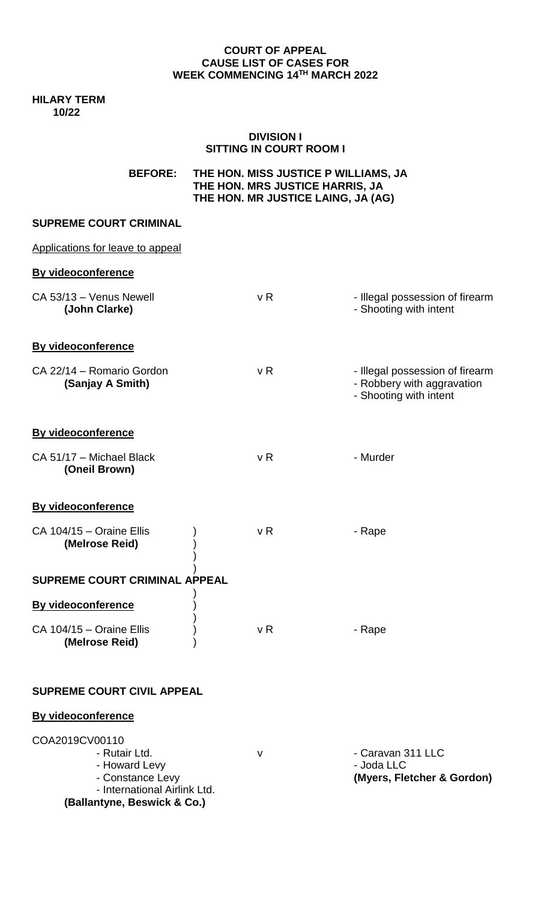#### **COURT OF APPEAL CAUSE LIST OF CASES FOR WEEK COMMENCING 14TH MARCH 2022**

**HILARY TERM 10/22**

### **DIVISION I SITTING IN COURT ROOM I**

| <b>BEFORE:</b> | THE HON. MISS JUSTICE P WILLIAMS, JA |
|----------------|--------------------------------------|
|                | THE HON. MRS JUSTICE HARRIS, JA      |
|                | THE HON. MR JUSTICE LAING, JA (AG)   |
|                |                                      |

### **SUPREME COURT CRIMINAL**

| Applications for leave to appeal              |                |                                                                                         |  |  |  |
|-----------------------------------------------|----------------|-----------------------------------------------------------------------------------------|--|--|--|
| <b>By videoconference</b>                     |                |                                                                                         |  |  |  |
| CA 53/13 - Venus Newell<br>(John Clarke)      | v <sub>R</sub> | - Illegal possession of firearm<br>- Shooting with intent                               |  |  |  |
| <b>By videoconference</b>                     |                |                                                                                         |  |  |  |
| CA 22/14 - Romario Gordon<br>(Sanjay A Smith) | v <sub>R</sub> | - Illegal possession of firearm<br>- Robbery with aggravation<br>- Shooting with intent |  |  |  |
| <b>By videoconference</b>                     |                |                                                                                         |  |  |  |
| CA 51/17 - Michael Black<br>(Oneil Brown)     | v R            | - Murder                                                                                |  |  |  |
| <b>By videoconference</b>                     |                |                                                                                         |  |  |  |
| CA 104/15 - Oraine Ellis<br>(Melrose Reid)    | v <sub>R</sub> | - Rape                                                                                  |  |  |  |
| <b>SUPREME COURT CRIMINAL APPEAL</b>          |                |                                                                                         |  |  |  |
| By videoconference                            |                |                                                                                         |  |  |  |
| CA 104/15 - Oraine Ellis<br>(Melrose Reid)    | v R            | - Rape                                                                                  |  |  |  |

# **SUPREME COURT CIVIL APPEAL**

# **By videoconference**

| COA2019CV00110                                              |   |                                 |
|-------------------------------------------------------------|---|---------------------------------|
| - Rutair Ltd.<br>- Howard Levy                              | v | - Caravan 311 LLC<br>- Joda LLC |
| - Constance Levy                                            |   | (Myers, Fletcher & Gordon)      |
| - International Airlink Ltd.<br>(Ballantyne, Beswick & Co.) |   |                                 |
|                                                             |   |                                 |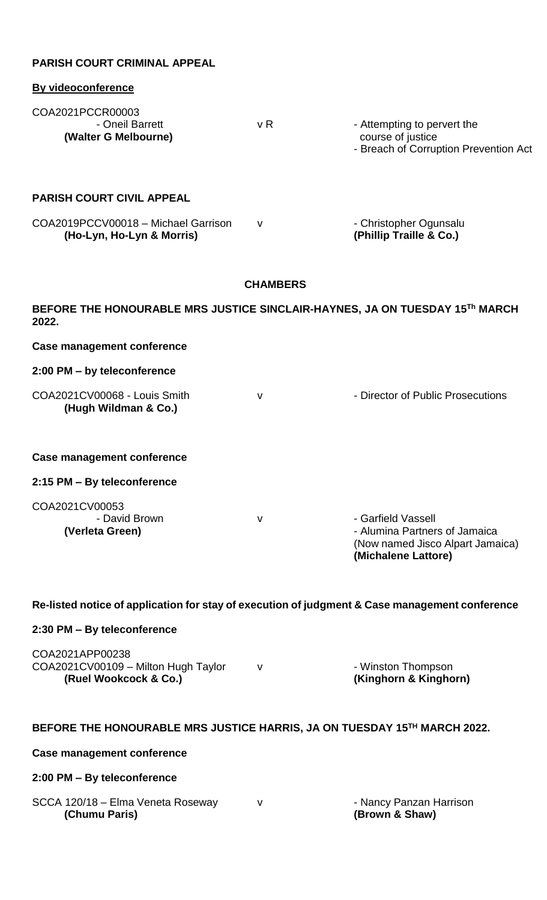| <b>PARISH COURT CRIMINAL APPEAL</b>                                                            |                 |                                                                                                                |  |  |  |
|------------------------------------------------------------------------------------------------|-----------------|----------------------------------------------------------------------------------------------------------------|--|--|--|
| <b>By videoconference</b>                                                                      |                 |                                                                                                                |  |  |  |
| COA2021PCCR00003<br>- Oneil Barrett<br>(Walter G Melbourne)                                    | v R             | - Attempting to pervert the<br>course of justice<br>- Breach of Corruption Prevention Act                      |  |  |  |
| <b>PARISH COURT CIVIL APPEAL</b>                                                               |                 |                                                                                                                |  |  |  |
| COA2019PCCV00018 - Michael Garrison<br>(Ho-Lyn, Ho-Lyn & Morris)                               | v               | - Christopher Ogunsalu<br>(Phillip Traille & Co.)                                                              |  |  |  |
|                                                                                                | <b>CHAMBERS</b> |                                                                                                                |  |  |  |
| BEFORE THE HONOURABLE MRS JUSTICE SINCLAIR-HAYNES, JA ON TUESDAY 15Th MARCH<br>2022.           |                 |                                                                                                                |  |  |  |
| <b>Case management conference</b>                                                              |                 |                                                                                                                |  |  |  |
| 2:00 PM - by teleconference                                                                    |                 |                                                                                                                |  |  |  |
| COA2021CV00068 - Louis Smith<br>(Hugh Wildman & Co.)                                           | $\mathsf{V}$    | - Director of Public Prosecutions                                                                              |  |  |  |
| Case management conference                                                                     |                 |                                                                                                                |  |  |  |
| 2:15 PM - By teleconference                                                                    |                 |                                                                                                                |  |  |  |
| COA2021CV00053<br>- David Brown<br>(Verleta Green)                                             | $\mathsf{V}$    | - Garfield Vassell<br>- Alumina Partners of Jamaica<br>(Now named Jisco Alpart Jamaica)<br>(Michalene Lattore) |  |  |  |
| Re-listed notice of application for stay of execution of judgment & Case management conference |                 |                                                                                                                |  |  |  |
| 2:30 PM - By teleconference                                                                    |                 |                                                                                                                |  |  |  |
| COA2021APP00238<br>COA2021CV00109 - Milton Hugh Taylor<br>(Ruel Wookcock & Co.)                | $\mathsf{V}$    | - Winston Thompson<br>(Kinghorn & Kinghorn)                                                                    |  |  |  |
| BEFORE THE HONOURABLE MRS JUSTICE HARRIS, JA ON TUESDAY 15TH MARCH 2022.                       |                 |                                                                                                                |  |  |  |
| <b>Case management conference</b>                                                              |                 |                                                                                                                |  |  |  |
| 2:00 PM - By teleconference                                                                    |                 |                                                                                                                |  |  |  |
| SCCA 120/18 - Elma Veneta Roseway<br>(Chumu Paris)                                             | $\mathsf{V}$    | - Nancy Panzan Harrison<br>(Brown & Shaw)                                                                      |  |  |  |